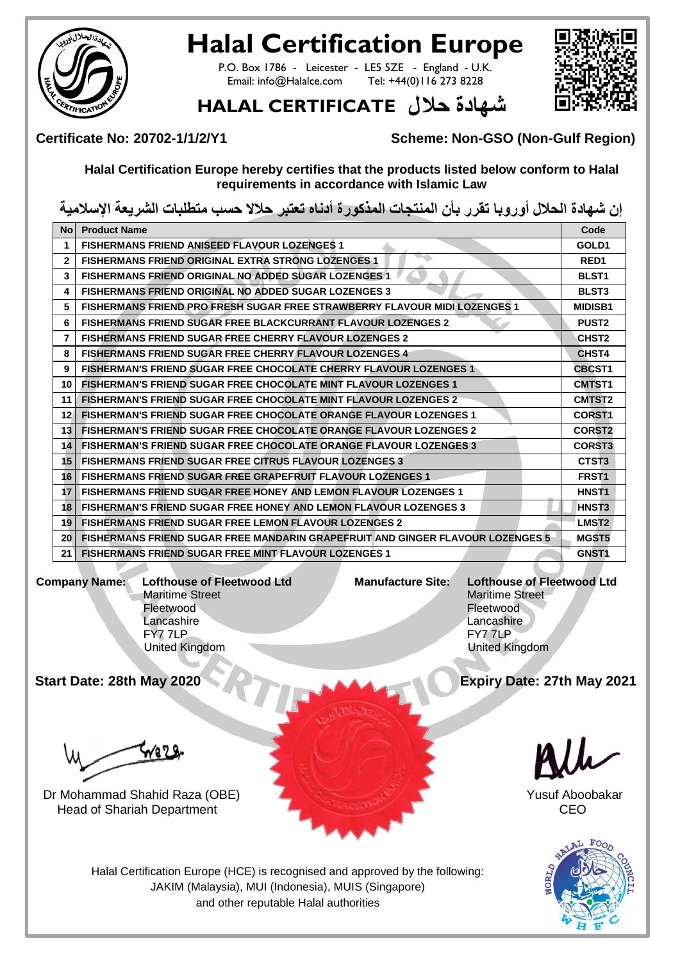

## **Halal Certification Europe**

P.O. Box 1786 - Leicester - LE5 5ZE - England - U.K.<br>Email: info@Halalce.com Tel: +44(0)116 273 8228 Tel: +44(0)116 273 8228



## شهادة حلال HALAL CERTIFICATE

**Certificate No: 20702-1/1/2/Y1 Scheme: Non-GSO (Non-Gulf Region)**

**Halal Certification Europe hereby certifies that the products listed below conform to Halal requirements in accordance with Islamic Law**

**إن شهادة الحالل أوروبا تقرر بأن المنتجات المذكورة أدناه تعتبر حالال حسب متطلبات الشريعة اإلسالمية**

| <b>No</b>       | <b>Product Name</b>                                                                   | Code               |
|-----------------|---------------------------------------------------------------------------------------|--------------------|
| 1               | <b>FISHERMANS FRIEND ANISEED FLAVOUR LOZENGES 1</b>                                   | GOLD1              |
| $\overline{2}$  | <b>FISHERMANS FRIEND ORIGINAL EXTRA STRONG LOZENGES 1</b>                             | RED <sub>1</sub>   |
| 3               | <b>FISHERMANS FRIEND ORIGINAL NO ADDED SUGAR LOZENGES 1</b>                           | <b>BLST1</b>       |
| 4               | <b>FISHERMANS FRIEND ORIGINAL NO ADDED SUGAR LOZENGES 3</b>                           | <b>BLST3</b>       |
| 5               | FISHERMANS FRIEND PRO FRESH SUGAR FREE STRAWBERRY FLAVOUR MIDI LOZENGES 1             | <b>MIDISB1</b>     |
| 6               | <b>FISHERMANS FRIEND SUGAR FREE BLACKCURRANT FLAVOUR LOZENGES 2</b>                   | <b>PUST2</b>       |
| $\overline{7}$  | <b>FISHERMANS FRIEND SUGAR FREE CHERRY FLAVOUR LOZENGES 2</b>                         | <b>CHST2</b>       |
| 8               | <b>FISHERMANS FRIEND SUGAR FREE CHERRY FLAVOUR LOZENGES 4</b>                         | CHST4              |
| 9               | <b>FISHERMAN'S FRIEND SUGAR FREE CHOCOLATE CHERRY FLAVOUR LOZENGES 1</b>              | <b>CBCST1</b>      |
| 10              | <b>FISHERMAN'S FRIEND SUGAR FREE CHOCOLATE MINT FLAVOUR LOZENGES 1</b>                | <b>CMTST1</b>      |
| 11              | <b>FISHERMAN'S FRIEND SUGAR FREE CHOCOLATE MINT FLAVOUR LOZENGES 2</b>                | CMTST <sub>2</sub> |
| 12 <sup>1</sup> | <b>FISHERMAN'S FRIEND SUGAR FREE CHOCOLATE ORANGE FLAVOUR LOZENGES 1</b>              | <b>CORST1</b>      |
| 13 <sup>1</sup> | <b>FISHERMAN'S FRIEND SUGAR FREE CHOCOLATE ORANGE FLAVOUR LOZENGES 2</b>              | <b>CORST2</b>      |
| 14              | <b>FISHERMAN'S FRIEND SUGAR FREE CHOCOLATE ORANGE FLAVOUR LOZENGES 3</b>              | <b>CORST3</b>      |
| 15 <sup>1</sup> | <b>FISHERMANS FRIEND SUGAR FREE CITRUS FLAVOUR LOZENGES 3</b>                         | CTST3              |
| 16 <sup>1</sup> | <b>FISHERMANS FRIEND SUGAR FREE GRAPEFRUIT FLAVOUR LOZENGES 1</b>                     | FRST <sub>1</sub>  |
| 17              | <b>FISHERMANS FRIEND SUGAR FREE HONEY AND LEMON FLAVOUR LOZENGES 1</b>                | HNST <sub>1</sub>  |
| 18 <sup>1</sup> | <b>FISHERMAN'S FRIEND SUGAR FREE HONEY AND LEMON FLAVOUR LOZENGES 3</b>               | HNST <sub>3</sub>  |
| 19              | <b>FISHERMANS FRIEND SUGAR FREE LEMON FLAVOUR LOZENGES 2</b>                          | LMST <sub>2</sub>  |
| 20 <sub>l</sub> | <b>FISHERMANS FRIEND SUGAR FREE MANDARIN GRAPEFRUIT AND GINGER FLAVOUR LOZENGES 5</b> | MGST5              |
| 21              | <b>FISHERMANS FRIEND SUGAR FREE MINT FLAVOUR LOZENGES 1</b>                           | GNST <sub>1</sub>  |
|                 |                                                                                       |                    |

**Company Name: Lofthouse of Fleetwood Ltd** Maritime Street Fleetwood Lancashire FY7 7LP United Kingdom

**Manufacture Site: Lofthouse of Fleetwood Ltd** Maritime Street Fleetwood **Lancashire** FY7 7LP

United Kingdom

**Start Date: 28th May 2020 Expiry Date: 27th May 2021**

wa 25

Dr Mohammad Shahid Raza (OBE) Yusuf Aboobakar **Head of Shariah Department CEO** 





Halal Certification Europe (HCE) is recognised and approved by the following: JAKIM (Malaysia), MUI (Indonesia), MUIS (Singapore) and other reputable Halal authorities